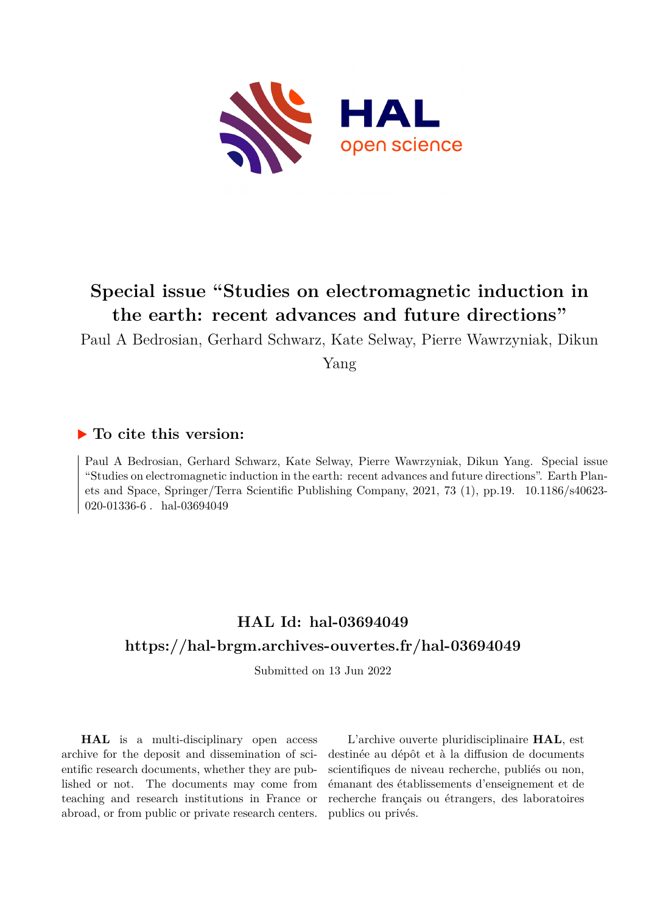

# **Special issue "Studies on electromagnetic induction in the earth: recent advances and future directions"**

Paul A Bedrosian, Gerhard Schwarz, Kate Selway, Pierre Wawrzyniak, Dikun

Yang

## **To cite this version:**

Paul A Bedrosian, Gerhard Schwarz, Kate Selway, Pierre Wawrzyniak, Dikun Yang. Special issue "Studies on electromagnetic induction in the earth: recent advances and future directions". Earth Planets and Space, Springer/Terra Scientific Publishing Company, 2021, 73 (1), pp.19. 10.1186/s40623-020-01336-6 . hal-03694049

# **HAL Id: hal-03694049 <https://hal-brgm.archives-ouvertes.fr/hal-03694049>**

Submitted on 13 Jun 2022

**HAL** is a multi-disciplinary open access archive for the deposit and dissemination of scientific research documents, whether they are published or not. The documents may come from teaching and research institutions in France or abroad, or from public or private research centers.

L'archive ouverte pluridisciplinaire **HAL**, est destinée au dépôt et à la diffusion de documents scientifiques de niveau recherche, publiés ou non, émanant des établissements d'enseignement et de recherche français ou étrangers, des laboratoires publics ou privés.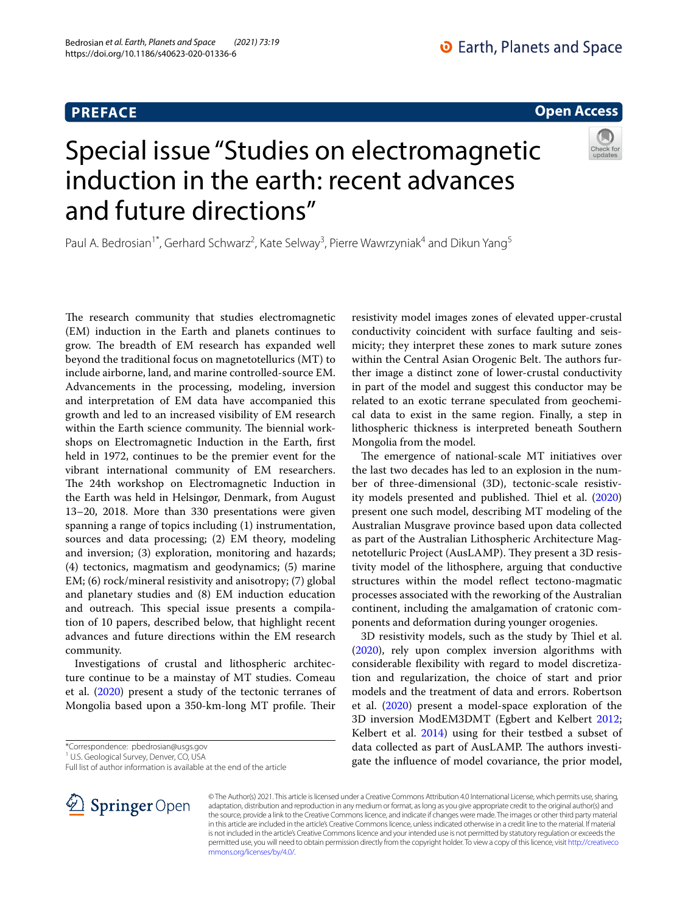## **PREFACE**

**Open Access**

# Special issue "Studies on electromagnetic induction in the earth: recent advances and future directions"

Paul A. Bedrosian<sup>1\*</sup>, Gerhard Schwarz<sup>2</sup>, Kate Selway<sup>3</sup>, Pierre Wawrzyniak<sup>4</sup> and Dikun Yang<sup>5</sup>

The research community that studies electromagnetic (EM) induction in the Earth and planets continues to grow. The breadth of EM research has expanded well beyond the traditional focus on magnetotellurics (MT) to include airborne, land, and marine controlled-source EM. Advancements in the processing, modeling, inversion and interpretation of EM data have accompanied this growth and led to an increased visibility of EM research within the Earth science community. The biennial workshops on Electromagnetic Induction in the Earth, frst held in 1972, continues to be the premier event for the vibrant international community of EM researchers. The 24th workshop on Electromagnetic Induction in the Earth was held in Helsingør, Denmark, from August 13–20, 2018. More than 330 presentations were given spanning a range of topics including (1) instrumentation, sources and data processing; (2) EM theory, modeling and inversion; (3) exploration, monitoring and hazards; (4) tectonics, magmatism and geodynamics; (5) marine EM; (6) rock/mineral resistivity and anisotropy; (7) global and planetary studies and (8) EM induction education and outreach. This special issue presents a compilation of 10 papers, described below, that highlight recent advances and future directions within the EM research community.

Investigations of crustal and lithospheric architecture continue to be a mainstay of MT studies. Comeau et al. (2020) present a study of the tectonic terranes of Mongolia based upon a 350-km-long MT profile. Their

\*Correspondence: pbedrosian@usgs.gov

<sup>1</sup> U.S. Geological Survey, Denver, CO, USA

Full list of author information is available at the end of the article



resistivity model images zones of elevated upper-crustal conductivity coincident with surface faulting and seismicity; they interpret these zones to mark suture zones within the Central Asian Orogenic Belt. The authors further image a distinct zone of lower-crustal conductivity in part of the model and suggest this conductor may be related to an exotic terrane speculated from geochemical data to exist in the same region. Finally, a step in lithospheric thickness is interpreted beneath Southern Mongolia from the model.

The emergence of national-scale MT initiatives over the last two decades has led to an explosion in the number of three-dimensional (3D), tectonic-scale resistivity models presented and published. Thiel et al. (2020) present one such model, describing MT modeling of the Australian Musgrave province based upon data collected as part of the Australian Lithospheric Architecture Magnetotelluric Project (AusLAMP). They present a 3D resistivity model of the lithosphere, arguing that conductive structures within the model refect tectono-magmatic processes associated with the reworking of the Australian continent, including the amalgamation of cratonic components and deformation during younger orogenies.

3D resistivity models, such as the study by Thiel et al. (2020), rely upon complex inversion algorithms with considerable fexibility with regard to model discretization and regularization, the choice of start and prior models and the treatment of data and errors. Robertson et al. (2020) present a model-space exploration of the 3D inversion ModEM3DMT (Egbert and Kelbert 2012; Kelbert et al. 2014) using for their testbed a subset of data collected as part of AusLAMP. The authors investigate the infuence of model covariance, the prior model,

© The Author(s) 2021. This article is licensed under a Creative Commons Attribution 4.0 International License, which permits use, sharing, adaptation, distribution and reproduction in any medium or format, as long as you give appropriate credit to the original author(s) and the source, provide a link to the Creative Commons licence, and indicate if changes were made. The images or other third party material in this article are included in the article's Creative Commons licence, unless indicated otherwise in a credit line to the material. If material is not included in the article's Creative Commons licence and your intended use is not permitted by statutory regulation or exceeds the permitted use, you will need to obtain permission directly from the copyright holder. To view a copy of this licence, visit [http://creativeco](http://creativecommons.org/licenses/by/4.0/) [mmons.org/licenses/by/4.0/.](http://creativecommons.org/licenses/by/4.0/)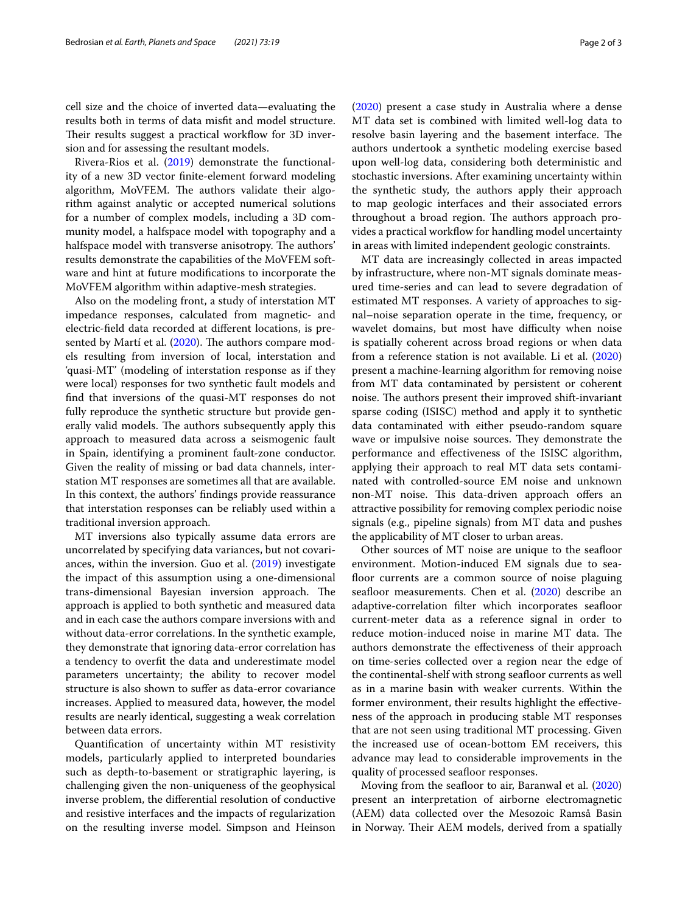cell size and the choice of inverted data—evaluating the results both in terms of data misft and model structure. Their results suggest a practical workflow for 3D inversion and for assessing the resultant models.

Rivera-Rios et al. (2019) demonstrate the functionality of a new 3D vector fnite-element forward modeling algorithm, MoVFEM. The authors validate their algorithm against analytic or accepted numerical solutions for a number of complex models, including a 3D community model, a halfspace model with topography and a halfspace model with transverse anisotropy. The authors' results demonstrate the capabilities of the MoVFEM software and hint at future modifcations to incorporate the MoVFEM algorithm within adaptive-mesh strategies.

Also on the modeling front, a study of interstation MT impedance responses, calculated from magnetic- and electric-feld data recorded at diferent locations, is presented by Martí et al. (2020). The authors compare models resulting from inversion of local, interstation and 'quasi-MT' (modeling of interstation response as if they were local) responses for two synthetic fault models and fnd that inversions of the quasi-MT responses do not fully reproduce the synthetic structure but provide generally valid models. The authors subsequently apply this approach to measured data across a seismogenic fault in Spain, identifying a prominent fault-zone conductor. Given the reality of missing or bad data channels, interstation MT responses are sometimes all that are available. In this context, the authors' fndings provide reassurance that interstation responses can be reliably used within a traditional inversion approach.

MT inversions also typically assume data errors are uncorrelated by specifying data variances, but not covariances, within the inversion. Guo et al. (2019) investigate the impact of this assumption using a one-dimensional trans-dimensional Bayesian inversion approach. The approach is applied to both synthetic and measured data and in each case the authors compare inversions with and without data-error correlations. In the synthetic example, they demonstrate that ignoring data-error correlation has a tendency to overft the data and underestimate model parameters uncertainty; the ability to recover model structure is also shown to sufer as data-error covariance increases. Applied to measured data, however, the model results are nearly identical, suggesting a weak correlation between data errors.

Quantifcation of uncertainty within MT resistivity models, particularly applied to interpreted boundaries such as depth-to-basement or stratigraphic layering, is challenging given the non-uniqueness of the geophysical inverse problem, the diferential resolution of conductive and resistive interfaces and the impacts of regularization on the resulting inverse model. Simpson and Heinson

(2020) present a case study in Australia where a dense MT data set is combined with limited well-log data to resolve basin layering and the basement interface. The authors undertook a synthetic modeling exercise based upon well-log data, considering both deterministic and stochastic inversions. After examining uncertainty within the synthetic study, the authors apply their approach to map geologic interfaces and their associated errors throughout a broad region. The authors approach provides a practical workflow for handling model uncertainty in areas with limited independent geologic constraints.

MT data are increasingly collected in areas impacted by infrastructure, where non-MT signals dominate measured time-series and can lead to severe degradation of estimated MT responses. A variety of approaches to signal–noise separation operate in the time, frequency, or wavelet domains, but most have difficulty when noise is spatially coherent across broad regions or when data from a reference station is not available. Li et al. (2020) present a machine-learning algorithm for removing noise from MT data contaminated by persistent or coherent noise. The authors present their improved shift-invariant sparse coding (ISISC) method and apply it to synthetic data contaminated with either pseudo-random square wave or impulsive noise sources. They demonstrate the performance and efectiveness of the ISISC algorithm, applying their approach to real MT data sets contaminated with controlled-source EM noise and unknown non-MT noise. This data-driven approach offers an attractive possibility for removing complex periodic noise signals (e.g., pipeline signals) from MT data and pushes the applicability of MT closer to urban areas.

Other sources of MT noise are unique to the seafoor environment. Motion-induced EM signals due to seafloor currents are a common source of noise plaguing seafloor measurements. Chen et al. (2020) describe an adaptive-correlation flter which incorporates seafoor current-meter data as a reference signal in order to reduce motion-induced noise in marine MT data. The authors demonstrate the efectiveness of their approach on time-series collected over a region near the edge of the continental-shelf with strong seafoor currents as well as in a marine basin with weaker currents. Within the former environment, their results highlight the efectiveness of the approach in producing stable MT responses that are not seen using traditional MT processing. Given the increased use of ocean-bottom EM receivers, this advance may lead to considerable improvements in the quality of processed seafoor responses.

Moving from the seafoor to air, Baranwal et al. (2020) present an interpretation of airborne electromagnetic (AEM) data collected over the Mesozoic Ramså Basin in Norway. Their AEM models, derived from a spatially